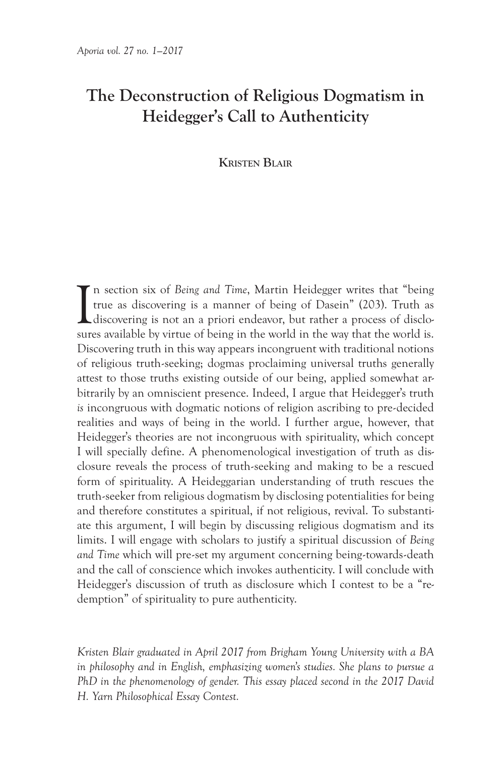# **The Deconstruction of Religious Dogmatism in Heidegger's Call to Authenticity**

## **Kristen Blair**

I n section six of *Being and Time*, Martin Heidegger writes that "being true as discovering is a manner of being of Dasein" (203). Truth as discovering is not an a priori endeavor, but rather a process of disclosures available by virtue of being in the world in the way that the world is. Discovering truth in this way appears incongruent with traditional notions of religious truth-seeking; dogmas proclaiming universal truths generally attest to those truths existing outside of our being, applied somewhat arbitrarily by an omniscient presence. Indeed, I argue that Heidegger's truth *is* incongruous with dogmatic notions of religion ascribing to pre-decided realities and ways of being in the world. I further argue, however, that Heidegger's theories are not incongruous with spirituality, which concept I will specially define. A phenomenological investigation of truth as disclosure reveals the process of truth-seeking and making to be a rescued form of spirituality. A Heideggarian understanding of truth rescues the truth-seeker from religious dogmatism by disclosing potentialities for being and therefore constitutes a spiritual, if not religious, revival. To substantiate this argument, I will begin by discussing religious dogmatism and its limits. I will engage with scholars to justify a spiritual discussion of *Being and Time* which will pre-set my argument concerning being-towards-death and the call of conscience which invokes authenticity. I will conclude with Heidegger's discussion of truth as disclosure which I contest to be a "redemption" of spirituality to pure authenticity.

*Kristen Blair graduated in April 2017 from Brigham Young University with a BA in philosophy and in English, emphasizing women's studies. She plans to pursue a*  PhD in the phenomenology of gender. This essay placed second in the 2017 David *H. Yarn Philosophical Essay Contest.*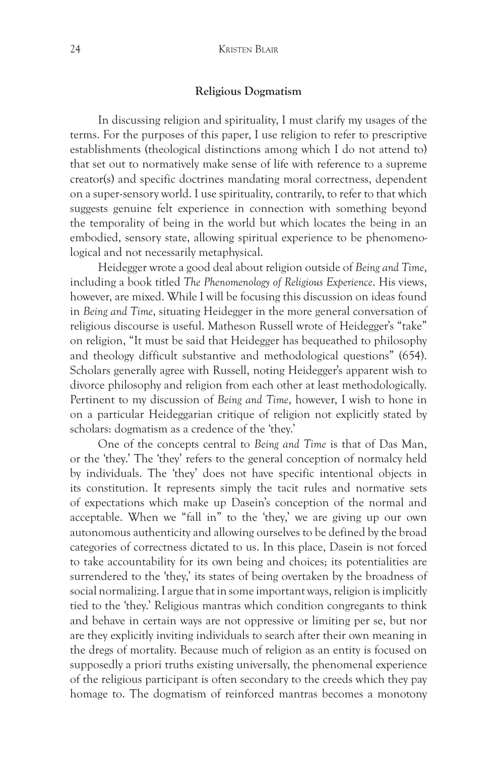#### **Religious Dogmatism**

In discussing religion and spirituality, I must clarify my usages of the terms. For the purposes of this paper, I use religion to refer to prescriptive establishments (theological distinctions among which I do not attend to) that set out to normatively make sense of life with reference to a supreme creator(s) and specific doctrines mandating moral correctness, dependent on a super-sensory world. I use spirituality, contrarily, to refer to that which suggests genuine felt experience in connection with something beyond the temporality of being in the world but which locates the being in an embodied, sensory state, allowing spiritual experience to be phenomenological and not necessarily metaphysical.

Heidegger wrote a good deal about religion outside of *Being and Time*, including a book titled *The Phenomenology of Religious Experience*. His views, however, are mixed. While I will be focusing this discussion on ideas found in *Being and Time*, situating Heidegger in the more general conversation of religious discourse is useful. Matheson Russell wrote of Heidegger's "take" on religion, "It must be said that Heidegger has bequeathed to philosophy and theology difficult substantive and methodological questions" (654). Scholars generally agree with Russell, noting Heidegger's apparent wish to divorce philosophy and religion from each other at least methodologically. Pertinent to my discussion of *Being and Time*, however, I wish to hone in on a particular Heideggarian critique of religion not explicitly stated by scholars: dogmatism as a credence of the 'they.'

One of the concepts central to *Being and Time* is that of Das Man, or the 'they.' The 'they' refers to the general conception of normalcy held by individuals. The 'they' does not have specific intentional objects in its constitution. It represents simply the tacit rules and normative sets of expectations which make up Dasein's conception of the normal and acceptable. When we "fall in" to the 'they,' we are giving up our own autonomous authenticity and allowing ourselves to be defined by the broad categories of correctness dictated to us. In this place, Dasein is not forced to take accountability for its own being and choices; its potentialities are surrendered to the 'they,' its states of being overtaken by the broadness of social normalizing. I argue that in some important ways, religion is implicitly tied to the 'they.' Religious mantras which condition congregants to think and behave in certain ways are not oppressive or limiting per se, but nor are they explicitly inviting individuals to search after their own meaning in the dregs of mortality. Because much of religion as an entity is focused on supposedly a priori truths existing universally, the phenomenal experience of the religious participant is often secondary to the creeds which they pay homage to. The dogmatism of reinforced mantras becomes a monotony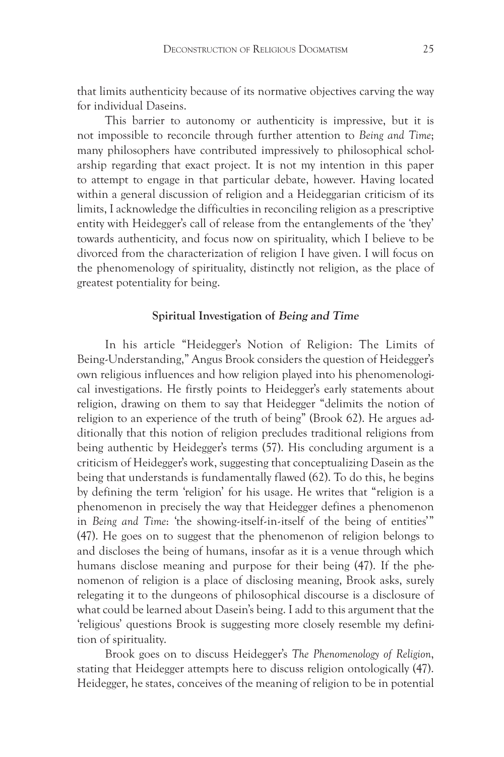that limits authenticity because of its normative objectives carving the way for individual Daseins.

This barrier to autonomy or authenticity is impressive, but it is not impossible to reconcile through further attention to *Being and Time*; many philosophers have contributed impressively to philosophical scholarship regarding that exact project. It is not my intention in this paper to attempt to engage in that particular debate, however. Having located within a general discussion of religion and a Heideggarian criticism of its limits, I acknowledge the difficulties in reconciling religion as a prescriptive entity with Heidegger's call of release from the entanglements of the 'they' towards authenticity, and focus now on spirituality, which I believe to be divorced from the characterization of religion I have given. I will focus on the phenomenology of spirituality, distinctly not religion, as the place of greatest potentiality for being.

#### **Spiritual Investigation of Being and Time**

In his article "Heidegger's Notion of Religion: The Limits of Being-Understanding," Angus Brook considers the question of Heidegger's own religious influences and how religion played into his phenomenological investigations. He firstly points to Heidegger's early statements about religion, drawing on them to say that Heidegger "delimits the notion of religion to an experience of the truth of being" (Brook 62). He argues additionally that this notion of religion precludes traditional religions from being authentic by Heidegger's terms (57). His concluding argument is a criticism of Heidegger's work, suggesting that conceptualizing Dasein as the being that understands is fundamentally flawed (62). To do this, he begins by defining the term 'religion' for his usage. He writes that "religion is a phenomenon in precisely the way that Heidegger defines a phenomenon in *Being and Time*: 'the showing-itself-in-itself of the being of entities'" (47). He goes on to suggest that the phenomenon of religion belongs to and discloses the being of humans, insofar as it is a venue through which humans disclose meaning and purpose for their being (47). If the phenomenon of religion is a place of disclosing meaning, Brook asks, surely relegating it to the dungeons of philosophical discourse is a disclosure of what could be learned about Dasein's being. I add to this argument that the 'religious' questions Brook is suggesting more closely resemble my definition of spirituality.

Brook goes on to discuss Heidegger's *The Phenomenology of Religion*, stating that Heidegger attempts here to discuss religion ontologically (47). Heidegger, he states, conceives of the meaning of religion to be in potential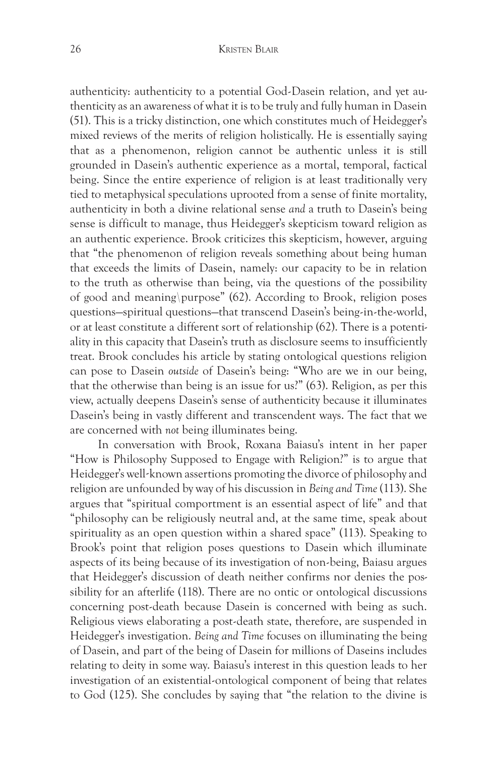authenticity: authenticity to a potential God-Dasein relation, and yet authenticity as an awareness of what it is to be truly and fully human in Dasein (51). This is a tricky distinction, one which constitutes much of Heidegger's mixed reviews of the merits of religion holistically. He is essentially saying that as a phenomenon, religion cannot be authentic unless it is still grounded in Dasein's authentic experience as a mortal, temporal, factical being. Since the entire experience of religion is at least traditionally very tied to metaphysical speculations uprooted from a sense of finite mortality, authenticity in both a divine relational sense *and* a truth to Dasein's being sense is difficult to manage, thus Heidegger's skepticism toward religion as an authentic experience. Brook criticizes this skepticism, however, arguing that "the phenomenon of religion reveals something about being human that exceeds the limits of Dasein, namely: our capacity to be in relation to the truth as otherwise than being, via the questions of the possibility of good and meaning\ purpose" (62). According to Brook, religion poses questions—spiritual questions—that transcend Dasein's being-in-the-world, or at least constitute a different sort of relationship (62). There is a potentiality in this capacity that Dasein's truth as disclosure seems to insufficiently treat. Brook concludes his article by stating ontological questions religion can pose to Dasein *outside* of Dasein's being: "Who are we in our being, that the otherwise than being is an issue for us?" (63). Religion, as per this view, actually deepens Dasein's sense of authenticity because it illuminates Dasein's being in vastly different and transcendent ways. The fact that we are concerned with *not* being illuminates being.

In conversation with Brook, Roxana Baiasu's intent in her paper "How is Philosophy Supposed to Engage with Religion?" is to argue that Heidegger's well-known assertions promoting the divorce of philosophy and religion are unfounded by way of his discussion in *Being and Time* (113). She argues that "spiritual comportment is an essential aspect of life" and that "philosophy can be religiously neutral and, at the same time, speak about spirituality as an open question within a shared space" (113). Speaking to Brook's point that religion poses questions to Dasein which illuminate aspects of its being because of its investigation of non-being, Baiasu argues that Heidegger's discussion of death neither confirms nor denies the possibility for an afterlife (118). There are no ontic or ontological discussions concerning post-death because Dasein is concerned with being as such. Religious views elaborating a post-death state, therefore, are suspended in Heidegger's investigation. *Being and Time* focuses on illuminating the being of Dasein, and part of the being of Dasein for millions of Daseins includes relating to deity in some way. Baiasu's interest in this question leads to her investigation of an existential-ontological component of being that relates to God (125). She concludes by saying that "the relation to the divine is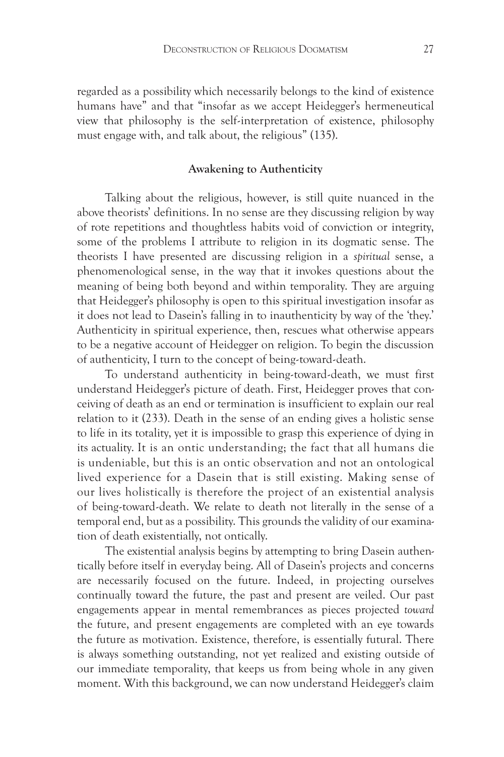regarded as a possibility which necessarily belongs to the kind of existence humans have" and that "insofar as we accept Heidegger's hermeneutical view that philosophy is the self-interpretation of existence, philosophy must engage with, and talk about, the religious" (135).

#### **Awakening to Authenticity**

Talking about the religious, however, is still quite nuanced in the above theorists' definitions. In no sense are they discussing religion by way of rote repetitions and thoughtless habits void of conviction or integrity, some of the problems I attribute to religion in its dogmatic sense. The theorists I have presented are discussing religion in a *spiritual* sense, a phenomenological sense, in the way that it invokes questions about the meaning of being both beyond and within temporality. They are arguing that Heidegger's philosophy is open to this spiritual investigation insofar as it does not lead to Dasein's falling in to inauthenticity by way of the 'they.' Authenticity in spiritual experience, then, rescues what otherwise appears to be a negative account of Heidegger on religion. To begin the discussion of authenticity, I turn to the concept of being-toward-death.

To understand authenticity in being-toward-death, we must first understand Heidegger's picture of death. First, Heidegger proves that conceiving of death as an end or termination is insufficient to explain our real relation to it (233). Death in the sense of an ending gives a holistic sense to life in its totality, yet it is impossible to grasp this experience of dying in its actuality. It is an ontic understanding; the fact that all humans die is undeniable, but this is an ontic observation and not an ontological lived experience for a Dasein that is still existing. Making sense of our lives holistically is therefore the project of an existential analysis of being-toward-death. We relate to death not literally in the sense of a temporal end, but as a possibility. This grounds the validity of our examination of death existentially, not ontically.

The existential analysis begins by attempting to bring Dasein authentically before itself in everyday being. All of Dasein's projects and concerns are necessarily focused on the future. Indeed, in projecting ourselves continually toward the future, the past and present are veiled. Our past engagements appear in mental remembrances as pieces projected *toward* the future, and present engagements are completed with an eye towards the future as motivation. Existence, therefore, is essentially futural. There is always something outstanding, not yet realized and existing outside of our immediate temporality, that keeps us from being whole in any given moment. With this background, we can now understand Heidegger's claim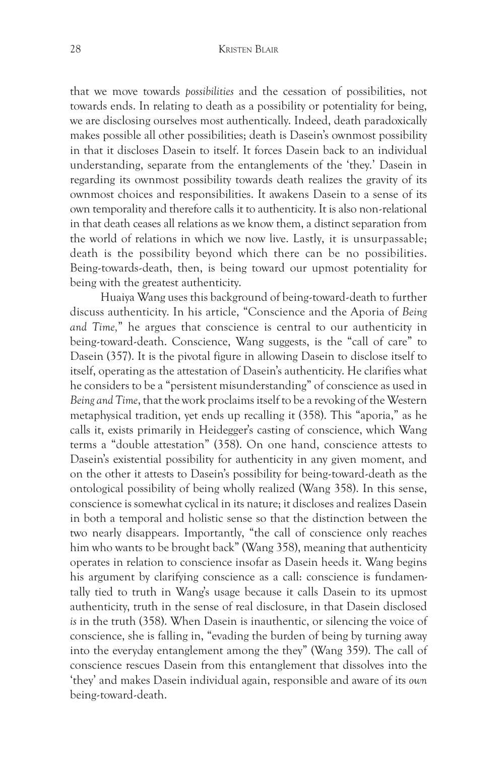that we move towards *possibilities* and the cessation of possibilities, not towards ends. In relating to death as a possibility or potentiality for being, we are disclosing ourselves most authentically. Indeed, death paradoxically makes possible all other possibilities; death is Dasein's ownmost possibility in that it discloses Dasein to itself. It forces Dasein back to an individual understanding, separate from the entanglements of the 'they.' Dasein in regarding its ownmost possibility towards death realizes the gravity of its ownmost choices and responsibilities. It awakens Dasein to a sense of its own temporality and therefore calls it to authenticity. It is also non-relational in that death ceases all relations as we know them, a distinct separation from the world of relations in which we now live. Lastly, it is unsurpassable; death is the possibility beyond which there can be no possibilities. Being-towards-death, then, is being toward our upmost potentiality for being with the greatest authenticity.

 Huaiya Wang uses this background of being-toward-death to further discuss authenticity. In his article, "Conscience and the Aporia of *Being and Time,*" he argues that conscience is central to our authenticity in being-toward-death. Conscience, Wang suggests, is the "call of care" to Dasein (357). It is the pivotal figure in allowing Dasein to disclose itself to itself, operating as the attestation of Dasein's authenticity. He clarifies what he considers to be a "persistent misunderstanding" of conscience as used in *Being and Time*, that the work proclaims itself to be a revoking of the Western metaphysical tradition, yet ends up recalling it (358). This "aporia," as he calls it, exists primarily in Heidegger's casting of conscience, which Wang terms a "double attestation" (358). On one hand, conscience attests to Dasein's existential possibility for authenticity in any given moment, and on the other it attests to Dasein's possibility for being-toward-death as the ontological possibility of being wholly realized (Wang 358). In this sense, conscience is somewhat cyclical in its nature; it discloses and realizes Dasein in both a temporal and holistic sense so that the distinction between the two nearly disappears. Importantly, "the call of conscience only reaches him who wants to be brought back" (Wang 358), meaning that authenticity operates in relation to conscience insofar as Dasein heeds it. Wang begins his argument by clarifying conscience as a call: conscience is fundamentally tied to truth in Wang's usage because it calls Dasein to its upmost authenticity, truth in the sense of real disclosure, in that Dasein disclosed *is* in the truth (358). When Dasein is inauthentic, or silencing the voice of conscience, she is falling in, "evading the burden of being by turning away into the everyday entanglement among the they" (Wang 359). The call of conscience rescues Dasein from this entanglement that dissolves into the 'they' and makes Dasein individual again, responsible and aware of its *own* being-toward-death.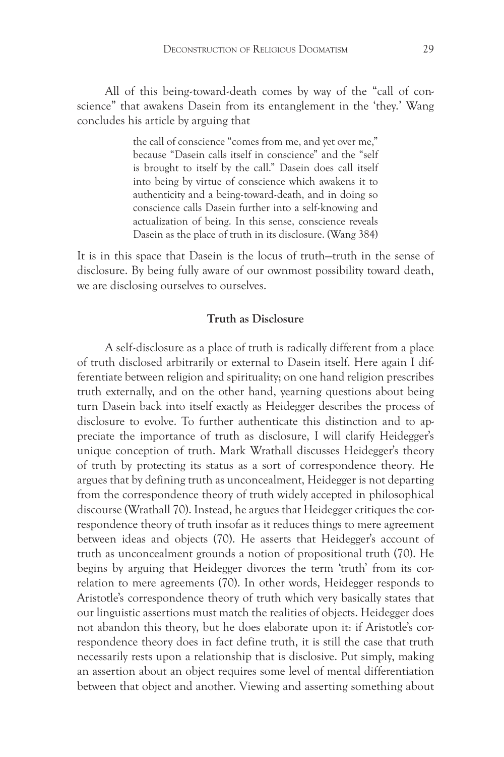All of this being-toward-death comes by way of the "call of conscience" that awakens Dasein from its entanglement in the 'they.' Wang concludes his article by arguing that

> the call of conscience "comes from me, and yet over me," because "Dasein calls itself in conscience" and the "self is brought to itself by the call." Dasein does call itself into being by virtue of conscience which awakens it to authenticity and a being-toward-death, and in doing so conscience calls Dasein further into a self-knowing and actualization of being. In this sense, conscience reveals Dasein as the place of truth in its disclosure. (Wang 384)

It is in this space that Dasein is the locus of truth—truth in the sense of disclosure. By being fully aware of our ownmost possibility toward death, we are disclosing ourselves to ourselves.

# **Truth as Disclosure**

A self-disclosure as a place of truth is radically different from a place of truth disclosed arbitrarily or external to Dasein itself. Here again I differentiate between religion and spirituality; on one hand religion prescribes truth externally, and on the other hand, yearning questions about being turn Dasein back into itself exactly as Heidegger describes the process of disclosure to evolve. To further authenticate this distinction and to appreciate the importance of truth as disclosure, I will clarify Heidegger's unique conception of truth. Mark Wrathall discusses Heidegger's theory of truth by protecting its status as a sort of correspondence theory. He argues that by defining truth as unconcealment, Heidegger is not departing from the correspondence theory of truth widely accepted in philosophical discourse (Wrathall 70). Instead, he argues that Heidegger critiques the correspondence theory of truth insofar as it reduces things to mere agreement between ideas and objects (70). He asserts that Heidegger's account of truth as unconcealment grounds a notion of propositional truth (70). He begins by arguing that Heidegger divorces the term 'truth' from its correlation to mere agreements (70). In other words, Heidegger responds to Aristotle's correspondence theory of truth which very basically states that our linguistic assertions must match the realities of objects. Heidegger does not abandon this theory, but he does elaborate upon it: if Aristotle's correspondence theory does in fact define truth, it is still the case that truth necessarily rests upon a relationship that is disclosive. Put simply, making an assertion about an object requires some level of mental differentiation between that object and another. Viewing and asserting something about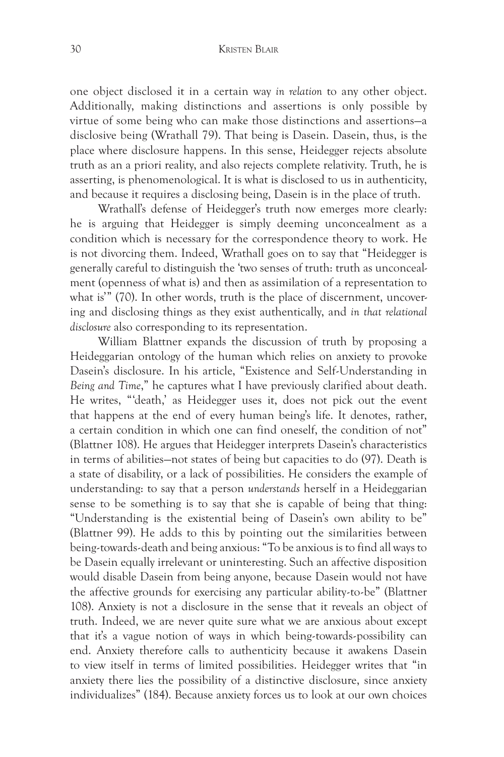#### 30 Kristen Blair

one object disclosed it in a certain way *in relation* to any other object. Additionally, making distinctions and assertions is only possible by virtue of some being who can make those distinctions and assertions—a disclosive being (Wrathall 79). That being is Dasein. Dasein, thus, is the place where disclosure happens. In this sense, Heidegger rejects absolute truth as an a priori reality, and also rejects complete relativity. Truth, he is asserting, is phenomenological. It is what is disclosed to us in authenticity, and because it requires a disclosing being, Dasein is in the place of truth.

Wrathall's defense of Heidegger's truth now emerges more clearly: he is arguing that Heidegger is simply deeming unconcealment as a condition which is necessary for the correspondence theory to work. He is not divorcing them. Indeed, Wrathall goes on to say that "Heidegger is generally careful to distinguish the 'two senses of truth: truth as unconcealment (openness of what is) and then as assimilation of a representation to what is'" (70). In other words, truth is the place of discernment, uncovering and disclosing things as they exist authentically, and *in that relational disclosure* also corresponding to its representation.

William Blattner expands the discussion of truth by proposing a Heideggarian ontology of the human which relies on anxiety to provoke Dasein's disclosure. In his article, "Existence and Self-Understanding in *Being and Time*," he captures what I have previously clarified about death. He writes, "'death,' as Heidegger uses it, does not pick out the event that happens at the end of every human being's life. It denotes, rather, a certain condition in which one can find oneself, the condition of not" (Blattner 108). He argues that Heidegger interprets Dasein's characteristics in terms of abilities—not states of being but capacities to do (97). Death is a state of disability, or a lack of possibilities. He considers the example of understanding: to say that a person *understands* herself in a Heideggarian sense to be something is to say that she is capable of being that thing: "Understanding is the existential being of Dasein's own ability to be" (Blattner 99). He adds to this by pointing out the similarities between being-towards-death and being anxious: "To be anxious is to find all ways to be Dasein equally irrelevant or uninteresting. Such an affective disposition would disable Dasein from being anyone, because Dasein would not have the affective grounds for exercising any particular ability-to-be" (Blattner 108). Anxiety is not a disclosure in the sense that it reveals an object of truth. Indeed, we are never quite sure what we are anxious about except that it's a vague notion of ways in which being-towards-possibility can end. Anxiety therefore calls to authenticity because it awakens Dasein to view itself in terms of limited possibilities. Heidegger writes that "in anxiety there lies the possibility of a distinctive disclosure, since anxiety individualizes" (184). Because anxiety forces us to look at our own choices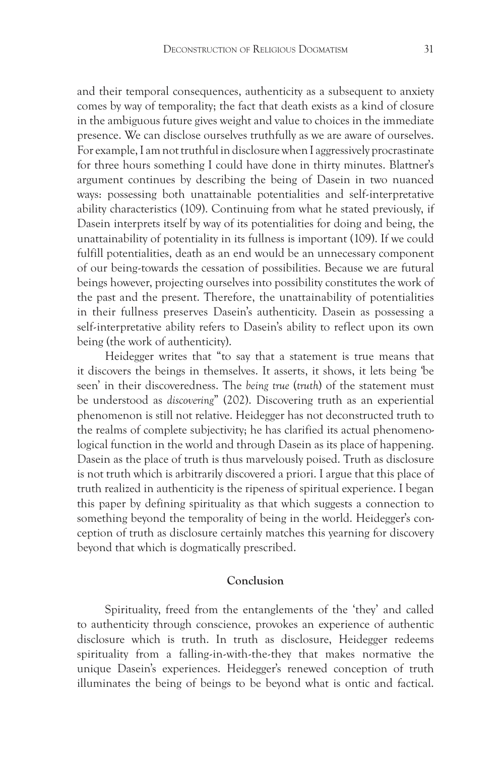and their temporal consequences, authenticity as a subsequent to anxiety comes by way of temporality; the fact that death exists as a kind of closure in the ambiguous future gives weight and value to choices in the immediate presence. We can disclose ourselves truthfully as we are aware of ourselves. For example, I am not truthful in disclosure when I aggressively procrastinate for three hours something I could have done in thirty minutes. Blattner's argument continues by describing the being of Dasein in two nuanced ways: possessing both unattainable potentialities and self-interpretative ability characteristics (109). Continuing from what he stated previously, if Dasein interprets itself by way of its potentialities for doing and being, the unattainability of potentiality in its fullness is important (109). If we could fulfill potentialities, death as an end would be an unnecessary component of our being-towards the cessation of possibilities. Because we are futural beings however, projecting ourselves into possibility constitutes the work of the past and the present. Therefore, the unattainability of potentialities in their fullness preserves Dasein's authenticity. Dasein as possessing a self-interpretative ability refers to Dasein's ability to reflect upon its own being (the work of authenticity).

Heidegger writes that "to say that a statement is true means that it discovers the beings in themselves. It asserts, it shows, it lets being 'be seen' in their discoveredness. The *being true* (*truth*) of the statement must be understood as *discovering*" (202). Discovering truth as an experiential phenomenon is still not relative. Heidegger has not deconstructed truth to the realms of complete subjectivity; he has clarified its actual phenomenological function in the world and through Dasein as its place of happening. Dasein as the place of truth is thus marvelously poised. Truth as disclosure is not truth which is arbitrarily discovered a priori. I argue that this place of truth realized in authenticity is the ripeness of spiritual experience. I began this paper by defining spirituality as that which suggests a connection to something beyond the temporality of being in the world. Heidegger's conception of truth as disclosure certainly matches this yearning for discovery beyond that which is dogmatically prescribed.

# **Conclusion**

Spirituality, freed from the entanglements of the 'they' and called to authenticity through conscience, provokes an experience of authentic disclosure which is truth. In truth as disclosure, Heidegger redeems spirituality from a falling-in-with-the-they that makes normative the unique Dasein's experiences. Heidegger's renewed conception of truth illuminates the being of beings to be beyond what is ontic and factical.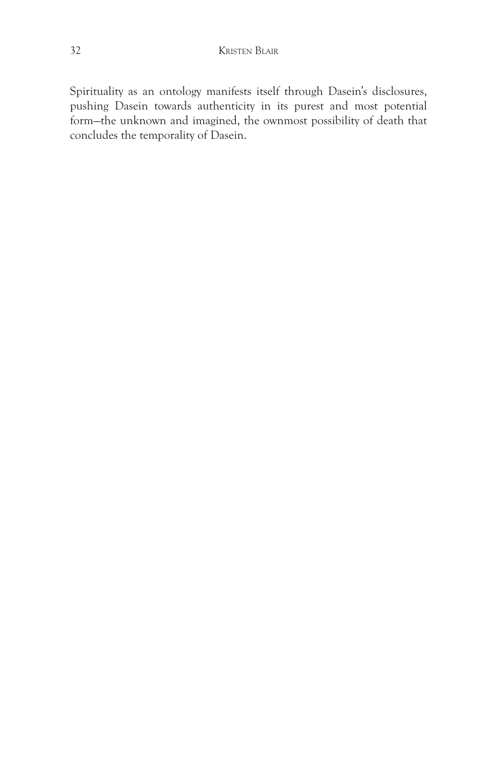Spirituality as an ontology manifests itself through Dasein's disclosures, pushing Dasein towards authenticity in its purest and most potential form—the unknown and imagined, the ownmost possibility of death that concludes the temporality of Dasein.